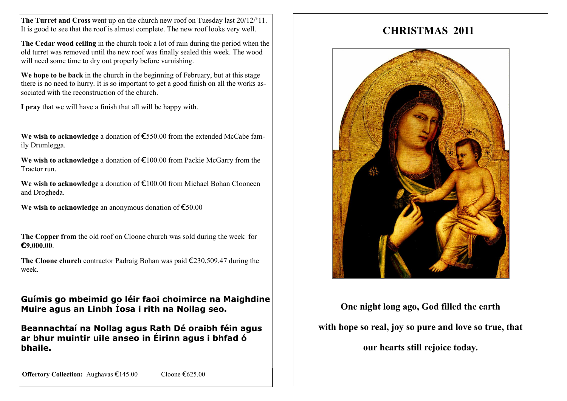**The Turret and Cross** went up on the church new roof on Tuesday last 20/12/'11. It is good to see that the roof is almost complete. The new roof looks very well.

**The Cedar wood ceiling** in the church took a lot of rain during the period when the old turret was removed until the new roof was finally sealed this week. The wood will need some time to dry out properly before varnishing.

**We hope to be back** in the church in the beginning of February, but at this stage there is no need to hurry. It is so important to get a good finish on all the works associated with the reconstruction of the church.

**I pray** that we will have a finish that all will be happy with.

**We wish to acknowledge** a donation of €550.00 from the extended McCabe family Drumlegga.

**We wish to acknowledge** a donation of €100.00 from Packie McGarry from the Tractor run.

**We wish to acknowledge** a donation of €100.00 from Michael Bohan Clooneen and Drogheda.

**We wish to acknowledge** an anonymous donation of €50.00

**The Copper from** the old roof on Cloone church was sold during the week for **€9,000.00**.

**The Cloone church** contractor Padraig Bohan was paid €230,509.47 during the week.

**Guímis go mbeimid go léir faoi choimirce na Maighdine Muire agus an Linbh Íosa i rith na Nollag seo.**

**Beannachtaí na Nollag agus Rath Dé oraibh féin agus ar bhur muintir uile anseo in Éirinn agus i bhfad ó bhaile.**

## **CHRISTMAS 2011**



**One night long ago, God filled the earth with hope so real, joy so pure and love so true, that our hearts still rejoice today.**